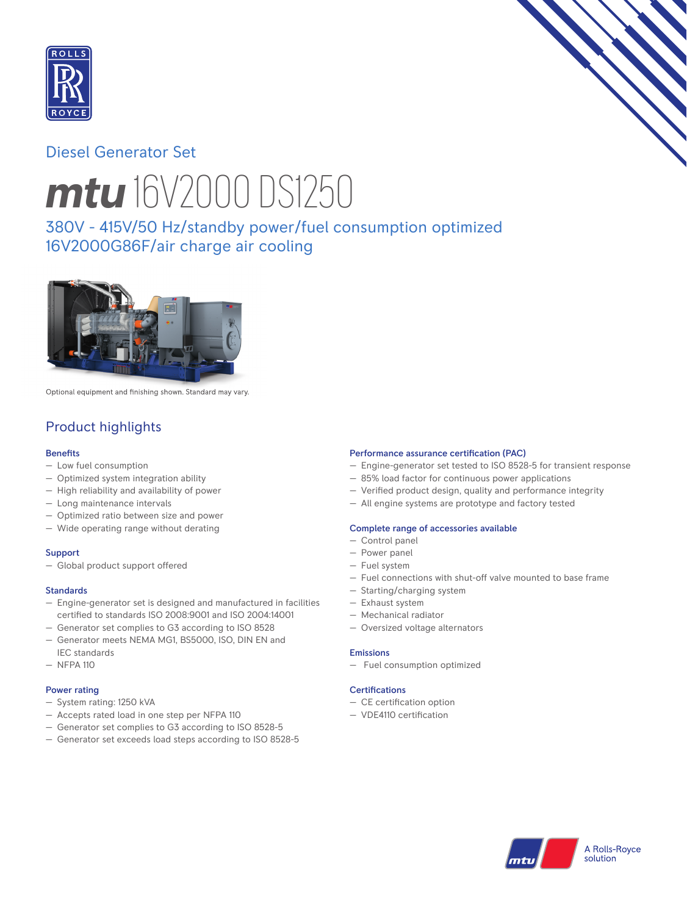

# Diesel Generator Set



# *mtu* 16V2000 DS1250

380V - 415V/50 Hz/standby power/fuel consumption optimized 16V2000G86F/air charge air cooling



Optional equipment and finishing shown. Standard may vary.

# Product highlights

# **Benefits**

- Low fuel consumption
- Optimized system integration ability
- High reliability and availability of power
- Long maintenance intervals
- Optimized ratio between size and power
- Wide operating range without derating

## **Support**

— Global product support offered

## Standards

- Engine-generator set is designed and manufactured in facilities certified to standards ISO 2008:9001 and ISO 2004:14001
- Generator set complies to G3 according to ISO 8528
- Generator meets NEMA MG1, BS5000, ISO, DIN EN and IEC standards
- NFPA 110

## Power rating

- System rating: 1250 kVA
- Accepts rated load in one step per NFPA 110
- Generator set complies to G3 according to ISO 8528-5
- Generator set exceeds load steps according to ISO 8528-5

## Performance assurance certification (PAC)

- Engine-generator set tested to ISO 8528-5 for transient response
- 85% load factor for continuous power applications
- Verified product design, quality and performance integrity
- All engine systems are prototype and factory tested

#### Complete range of accessories available

- Control panel
- Power panel
- Fuel system
- Fuel connections with shut-off valve mounted to base frame
- Starting/charging system
- Exhaust system
- Mechanical radiator
- Oversized voltage alternators

#### Emissions

— Fuel consumption optimized

#### Certifications

- $-$  CE certification option
- VDE4110 certification

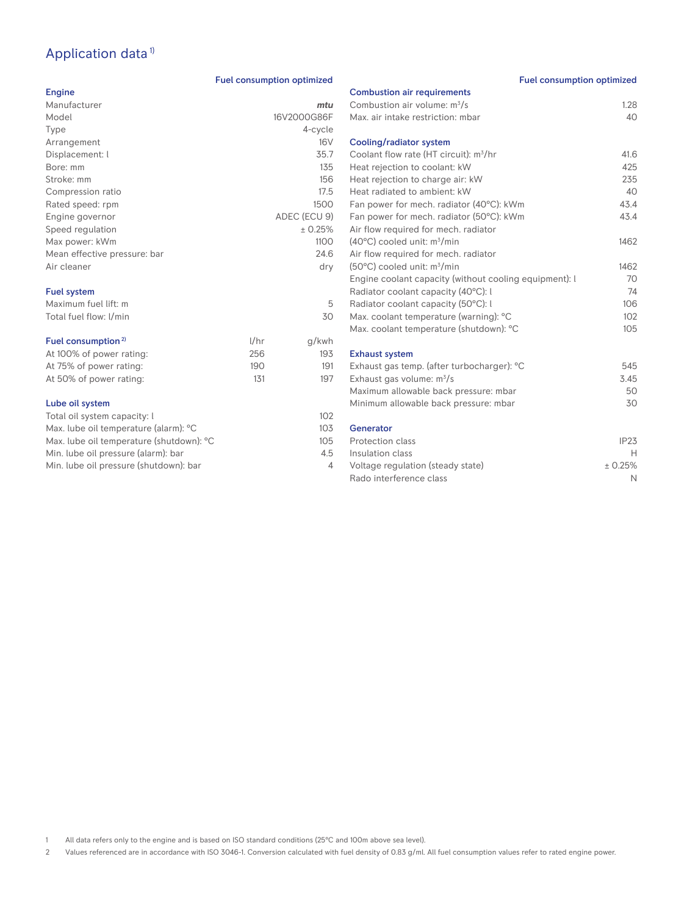# Application data<sup>1)</sup>

# Fuel consumption optimized

| Engine                       |      |              |
|------------------------------|------|--------------|
| Manufacturer                 |      | mtu          |
| Model                        |      | 16V2000G86F  |
| Type                         |      | 4-cycle      |
| Arrangement                  |      | 16V          |
| Displacement: l              |      | 35.7         |
| Bore: mm                     |      | 135          |
| Stroke: mm                   |      | 156          |
| Compression ratio            |      | 17.5         |
| Rated speed: rpm             |      | 1500         |
| Engine governor              |      | ADEC (ECU 9) |
| Speed regulation             |      | ± 0.25%      |
| Max power: kWm               |      | 1100         |
| Mean effective pressure: bar |      | 24.6         |
| Air cleaner                  |      | dry          |
| <b>Fuel system</b>           |      |              |
| Maximum fuel lift: m         |      | 5            |
| Total fuel flow: I/min       |      | 30           |
| Fuel consumption $2$         | 1/hr | a/kwh        |

|                                |      |       | M  |
|--------------------------------|------|-------|----|
| Fuel consumption <sup>2)</sup> | 1/hr | g/kwh |    |
| At 100% of power rating:       | 256  | 193   | Ex |
| At 75% of power rating:        | 190  | 191   | Еx |
| At 50% of power rating:        | 131  | 197   | Fх |
|                                |      |       |    |

# Lube oil system

| 102             |
|-----------------|
| 10 <sub>3</sub> |
| 105             |
| 4.5             |
| Δ               |
|                 |

| <b>Fuel consumption optimized</b>                      |         |
|--------------------------------------------------------|---------|
| <b>Combustion air requirements</b>                     |         |
| Combustion air volume: m <sup>3</sup> /s               | 1.28    |
| Max, air intake restriction: mbar                      | 40      |
| Cooling/radiator system                                |         |
| Coolant flow rate (HT circuit): m <sup>3</sup> /hr     | 41.6    |
| Heat rejection to coolant: kW                          | 425     |
| Heat rejection to charge air: kW                       | 235     |
| Heat radiated to ambient: kW                           | 40      |
| Fan power for mech. radiator (40°C): kWm               | 43.4    |
| Fan power for mech. radiator (50°C): kWm               | 43.4    |
| Air flow required for mech. radiator                   |         |
| $(40^{\circ}$ C) cooled unit: $m^{3}/min$              | 1462    |
| Air flow required for mech. radiator                   |         |
| (50°C) cooled unit: m <sup>3</sup> /min                | 1462    |
| Engine coolant capacity (without cooling equipment): I | 70      |
| Radiator coolant capacity (40°C): I                    | 74      |
| Radiator coolant capacity (50°C): l                    | 106     |
| Max. coolant temperature (warning): °C                 | 102     |
| Max. coolant temperature (shutdown): °C                | 105     |
| <b>Exhaust system</b>                                  |         |
| Exhaust gas temp. (after turbocharger): °C             | 545     |
| Exhaust gas volume: $m^3/s$                            | 3.45    |
| Maximum allowable back pressure: mbar                  | 50      |
| Minimum allowable back pressure: mbar                  | 30      |
| Generator                                              |         |
| Protection class                                       | IP23    |
| Insulation class                                       | н.      |
| Voltage regulation (steady state)                      | ± 0.25% |
| Rado interference class                                | N       |

1 All data refers only to the engine and is based on ISO standard conditions (25°C and 100m above sea level).

2 Values referenced are in accordance with ISO 3046-1. Conversion calculated with fuel density of 0.83 g/ml. All fuel consumption values refer to rated engine power.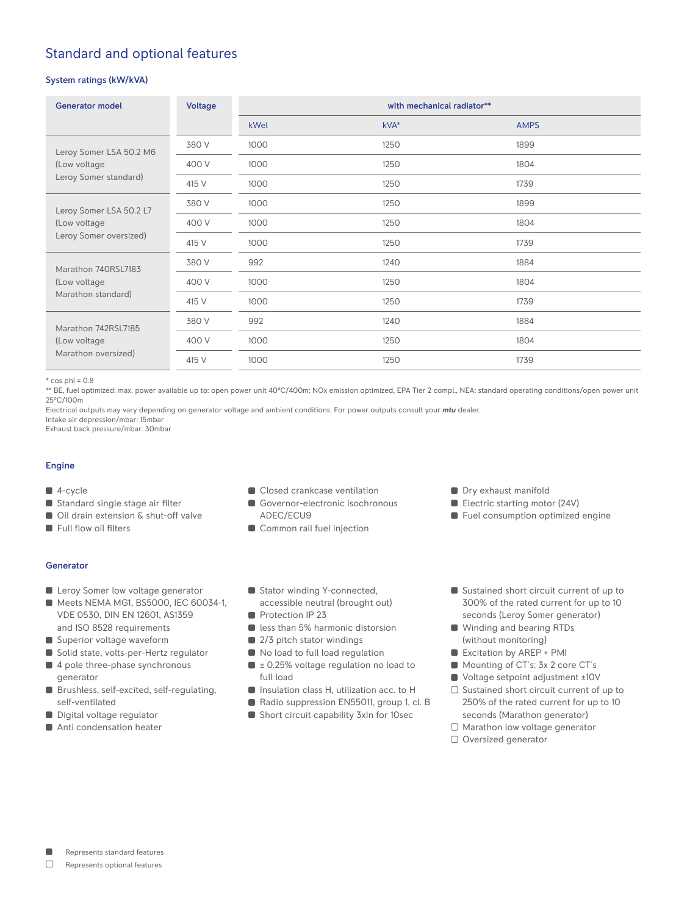# Standard and optional features

# System ratings (kW/kVA)

| <b>Generator model</b>                                            | <b>Voltage</b> | with mechanical radiator** |      |             |
|-------------------------------------------------------------------|----------------|----------------------------|------|-------------|
|                                                                   |                | kWel                       | kVA* | <b>AMPS</b> |
| Leroy Somer LSA 50.2 M6<br>(Low voltage<br>Leroy Somer standard)  | 380 V          | 1000                       | 1250 | 1899        |
|                                                                   | 400 V          | 1000                       | 1250 | 1804        |
|                                                                   | 415 V          | 1000                       | 1250 | 1739        |
| Leroy Somer LSA 50.2 L7<br>(Low voltage<br>Leroy Somer oversized) | 380 V          | 1000                       | 1250 | 1899        |
|                                                                   | 400 V          | 1000                       | 1250 | 1804        |
|                                                                   | 415 V          | 1000                       | 1250 | 1739        |
| Marathon 740RSL7183<br>(Low voltage<br>Marathon standard)         | 380 V          | 992                        | 1240 | 1884        |
|                                                                   | 400 V          | 1000                       | 1250 | 1804        |
|                                                                   | 415 V          | 1000                       | 1250 | 1739        |
| Marathon 742RSL7185<br>(Low voltage<br>Marathon oversized)        | 380 V          | 992                        | 1240 | 1884        |
|                                                                   | 400 V          | 1000                       | 1250 | 1804        |
|                                                                   | 415 V          | 1000                       | 1250 | 1739        |

 $*$  cos phi = 0.8

\*\* BE, fuel optimized: max. power available up to: open power unit 40°C/400m; NOx emission optimized, EPA Tier 2 compl., NEA: standard operating conditions/open power unit 25°C/100m

Electrical outputs may vary depending on generator voltage and ambient conditions. For power outputs consult your *mtu* dealer. Intake air depression/mbar: 15mbar

Exhaust back pressure/mbar: 30mbar

## Engine

- 4-cycle
- Standard single stage air filter
- Oil drain extension & shut-off valve
- Full flow oil filters
	-

# Generator

- **Leroy Somer low voltage generator**
- Meets NEMA MG1, BS5000, IEC 60034-1, VDE 0530, DIN EN 12601, AS1359 and ISO 8528 requirements
- Superior voltage waveform
- Solid state, volts-per-Hertz regulator
- 4 pole three-phase synchronous generator
- Brushless, self-excited, self-regulating, self-ventilated
- Digital voltage regulator
- Anti condensation heater
- Closed crankcase ventilation
- Governor-electronic isochronous ADEC/ECU9
- Common rail fuel injection
- **Dry exhaust manifold**
- Electric starting motor (24V)
- **Fuel consumption optimized engine**
- Stator winding Y-connected, accessible neutral (brought out)
- Protection IP 23
- **less than 5% harmonic distorsion**
- 2/3 pitch stator windings
- No load to full load regulation
- $\blacksquare$   $\pm$  0.25% voltage regulation no load to full load
- **Insulation class H, utilization acc. to H**
- Radio suppression EN55011, group 1, cl. B
- Short circuit capability 3xIn for 10sec
- Sustained short circuit current of up to 300% of the rated current for up to 10 seconds (Leroy Somer generator)
- Winding and bearing RTDs (without monitoring)
- Excitation by AREP + PMI
- Mounting of CT's: 3x 2 core CT's
- Voltage setpoint adjustment ±10V
- $\Box$  Sustained short circuit current of up to 250% of the rated current for up to 10 seconds (Marathon generator)
- $\Box$  Marathon low voltage generator
- O Oversized generator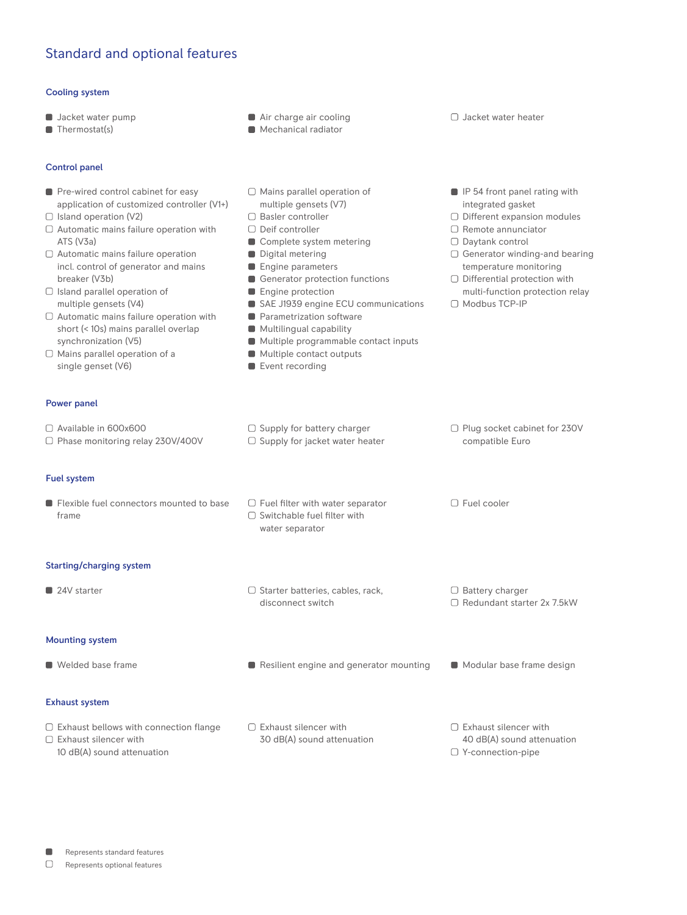# Standard and optional features

### Cooling system

- **Jacket water pump**
- **Thermostat(s)**
- Control panel
- Pre-wired control cabinet for easy application of customized controller (V1+)
- $\Box$  Island operation (V2)
- $\Box$  Automatic mains failure operation with ATS (V3a)
- Automatic mains failure operation incl. control of generator and mains breaker (V3b)
- $\Box$  Island parallel operation of multiple gensets (V4)
- $\Box$  Automatic mains failure operation with short (< 10s) mains parallel overlap synchronization (V5)
- $\Box$  Mains parallel operation of a single genset (V6)

## Power panel

## Available in 600x600

□ Phase monitoring relay 230V/400V

Fuel system

**Flexible fuel connectors mounted to base** frame

#### Starting/charging system

■ 24V starter Starter Starter batteries, cables, rack,

## Mounting system

- 
- 
- Exhaust system
- $\Box$  Exhaust bellows with connection flange Exhaust silencer with
- 10 dB(A) sound attenuation
- Air charge air cooling
- **Mechanical radiator**
- $\Box$  Mains parallel operation of multiple gensets (V7)
- □ Basler controller
- □ Deif controller
- Complete system metering
- Digital metering
- **Engine parameters**
- Generator protection functions
- **Engine protection**
- SAE J1939 engine ECU communications
- **Parametrization software**
- **Multilingual capability**
- **Multiple programmable contact inputs**
- **Multiple contact outputs**
- Event recording
- Jacket water heater
- $\blacksquare$  IP 54 front panel rating with integrated gasket
- Different expansion modules
- $\Box$  Remote annunciator
- Daytank control
- Generator winding-and bearing temperature monitoring
- □ Differential protection with multi-function protection relay

□ Plug socket cabinet for 230V

compatible Euro

□ Fuel cooler

Modbus TCP-IP

- $\Box$  Supply for battery charger  $\Box$  Supply for jacket water heater
	- $\Box$  Fuel filter with water separator
		- $\Box$  Switchable fuel filter with water separator

disconnect switch

 $\Box$  Exhaust silencer with

30 dB(A) sound attenuation

- 
- □ Battery charger Redundant starter 2x 7.5kW
- 
- $\Box$  Welded base frame  $\Box$  Resilient engine and generator mounting  $\Box$  Modular base frame design
	- $\Box$  Exhaust silencer with 40 dB(A) sound attenuation Y-connection-pipe